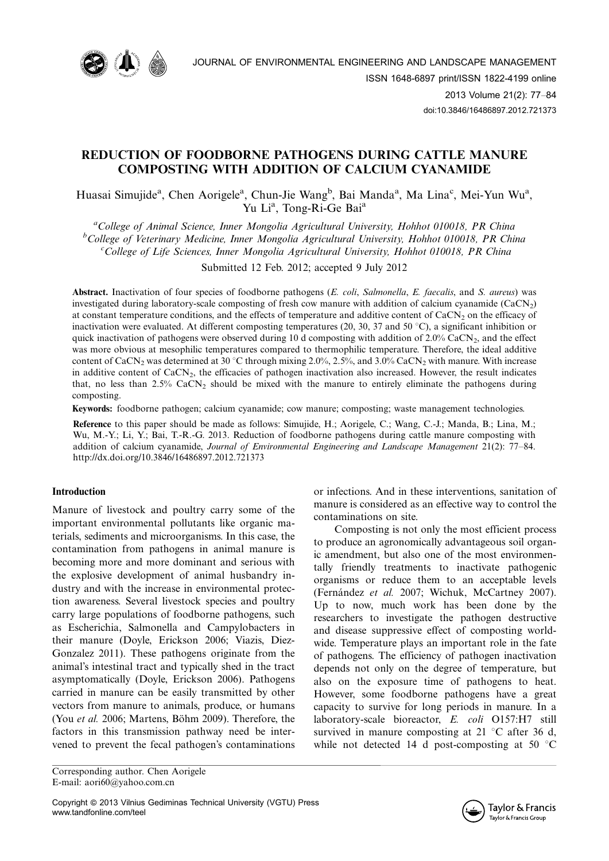

# REDUCTION OF FOODBORNE PATHOGENS DURING CATTLE MANURE COMPOSTING WITH ADDITION OF CALCIUM CYANAMIDE

Huasai Simujide<sup>a</sup>, Chen Aorigele<sup>a</sup>, Chun-Jie Wang<sup>b</sup>, Bai Manda<sup>a</sup>, Ma Lina<sup>c</sup>, Mei-Yun Wu<sup>a</sup>, Yu Li<sup>a</sup>, Tong-Ri-Ge Bai<sup>a</sup>

<sup>a</sup>College of Animal Science, Inner Mongolia Agricultural University, Hohhot 010018, PR China <sup>b</sup>College of Veterinary Medicine, Inner Mongolia Agricultural University, Hohhot 010018, PR China<br>College of Life Sciences, Inner Mongolia Agricultural University, Hohhot 010018, PP China  $c^c$ College of Life Sciences, Inner Mongolia Agricultural University, Hohhot 010018, PR China

Submitted 12 Feb. 2012; accepted 9 July 2012

Abstract. Inactivation of four species of foodborne pathogens (E. coli, Salmonella, E. faecalis, and S. aureus) was investigated during laboratory-scale composting of fresh cow manure with addition of calcium cyanamide  $(CaCN<sub>2</sub>)$ at constant temperature conditions, and the effects of temperature and additive content of  $CaCN<sub>2</sub>$  on the efficacy of inactivation were evaluated. At different composting temperatures (20, 30, 37 and 50 °C), a significant inhibition or quick inactivation of pathogens were observed during 10 d composting with addition of  $2.0\%$  CaCN<sub>2</sub>, and the effect was more obvious at mesophilic temperatures compared to thermophilic temperature. Therefore, the ideal additive content of CaCN<sub>2</sub> was determined at 30 °C through mixing 2.0%, 2.5%, and 3.0% CaCN<sub>2</sub> with manure. With increase in additive content of CaCN<sub>2</sub>, the efficacies of pathogen inactivation also increased. However, the result indicates that, no less than  $2.5\%$  CaCN<sub>2</sub> should be mixed with the manure to entirely eliminate the pathogens during composting.

Keywords: foodborne pathogen; calcium cyanamide; cow manure; composting; waste management technologies.

Reference to this paper should be made as follows: Simujide, H.; Aorigele, C.; Wang, C.-J.; Manda, B.; Lina, M.; Wu, M.-Y.; Li, Y.; Bai, T.-R.-G. 2013. Reduction of foodborne pathogens during cattle manure composting with addition of calcium cyanamide, Journal of Environmental Engineering and Landscape Management 21(2): 77-84. <http://dx.doi.org/10.3846/16486897.2012.721373>

## Introduction

Manure of livestock and poultry carry some of the important environmental pollutants like organic materials, sediments and microorganisms. In this case, the contamination from pathogens in animal manure is becoming more and more dominant and serious with the explosive development of animal husbandry industry and with the increase in environmental protection awareness. Several livestock species and poultry carry large populations of foodborne pathogens, such as Escherichia, Salmonella and Campylobacters in their manure (Doyle, Erickson 2006; Viazis, Diez-Gonzalez 2011). These pathogens originate from the animal's intestinal tract and typically shed in the tract asymptomatically (Doyle, Erickson 2006). Pathogens carried in manure can be easily transmitted by other vectors from manure to animals, produce, or humans (You et al. 2006; Martens, Böhm 2009). Therefore, the factors in this transmission pathway need be intervened to prevent the fecal pathogen's contaminations

Corresponding author. Chen Aorigele E-mail: aori60@yahoo.com.cn

Copyright ª 2013 Vilnius Gediminas Technical University (VGTU) Press www.tandfonline.com/teel

or infections. And in these interventions, sanitation of manure is considered as an effective way to control the contaminations on site.

Composting is not only the most efficient process to produce an agronomically advantageous soil organic amendment, but also one of the most environmentally friendly treatments to inactivate pathogenic organisms or reduce them to an acceptable levels (Fernández et al. 2007; Wichuk, McCartney 2007). Up to now, much work has been done by the researchers to investigate the pathogen destructive and disease suppressive effect of composting worldwide. Temperature plays an important role in the fate of pathogens. The efficiency of pathogen inactivation depends not only on the degree of temperature, but also on the exposure time of pathogens to heat. However, some foodborne pathogens have a great capacity to survive for long periods in manure. In a laboratory-scale bioreactor, E. coli O157:H7 still survived in manure composting at  $21 \degree C$  after 36 d, while not detected 14 d post-composting at 50  $\degree$ C

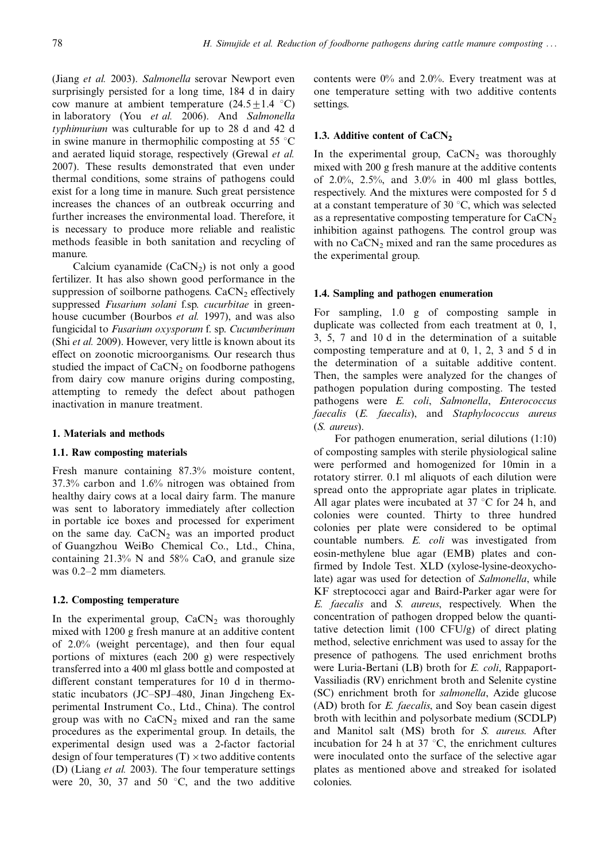(Jiang et al. 2003). Salmonella serovar Newport even surprisingly persisted for a long time, 184 d in dairy cow manure at ambient temperature  $(24.5 \pm 1.4 \degree C)$ in laboratory (You et al. 2006). And Salmonella typhimurium was culturable for up to 28 d and 42 d in swine manure in thermophilic composting at 55  $\mathrm{^{\circ}C}$ and aerated liquid storage, respectively (Grewal et al. 2007). These results demonstrated that even under thermal conditions, some strains of pathogens could exist for a long time in manure. Such great persistence increases the chances of an outbreak occurring and further increases the environmental load. Therefore, it is necessary to produce more reliable and realistic methods feasible in both sanitation and recycling of manure.

Calcium cyanamide  $(CaCN<sub>2</sub>)$  is not only a good fertilizer. It has also shown good performance in the suppression of soilborne pathogens.  $CaCN<sub>2</sub>$  effectively suppressed Fusarium solani f.sp. cucurbitae in greenhouse cucumber (Bourbos *et al.* 1997), and was also fungicidal to Fusarium oxysporum f. sp. Cucumberinum (Shi et al. 2009). However, very little is known about its effect on zoonotic microorganisms. Our research thus studied the impact of  $CaCN<sub>2</sub>$  on foodborne pathogens from dairy cow manure origins during composting, attempting to remedy the defect about pathogen inactivation in manure treatment.

## 1. Materials and methods

#### 1.1. Raw composting materials

Fresh manure containing 87.3% moisture content, 37.3% carbon and 1.6% nitrogen was obtained from healthy dairy cows at a local dairy farm. The manure was sent to laboratory immediately after collection in portable ice boxes and processed for experiment on the same day.  $CaCN<sub>2</sub>$  was an imported product of Guangzhou WeiBo Chemical Co., Ltd., China, containing  $21.3\%$  N and  $58\%$  CaO, and granule size was  $0.2-2$  mm diameters.

## 1.2. Composting temperature

In the experimental group,  $CaCN<sub>2</sub>$  was thoroughly mixed with 1200 g fresh manure at an additive content of 2.0% (weight percentage), and then four equal portions of mixtures (each 200 g) were respectively transferred into a 400 ml glass bottle and composted at different constant temperatures for 10 d in thermostatic incubators (JC-SPJ-480, Jinan Jingcheng Experimental Instrument Co., Ltd., China). The control group was with no  $CaCN<sub>2</sub>$  mixed and ran the same procedures as the experimental group. In details, the experimental design used was a 2-factor factorial design of four temperatures  $(T) \times$  two additive contents (D) (Liang et al. 2003). The four temperature settings were 20, 30, 37 and 50  $\degree$ C, and the two additive contents were 0% and 2.0%. Every treatment was at one temperature setting with two additive contents settings.

## 1.3. Additive content of  $CaCN<sub>2</sub>$

In the experimental group,  $CaCN<sub>2</sub>$  was thoroughly mixed with 200 g fresh manure at the additive contents of 2.0%, 2.5%, and 3.0% in 400 ml glass bottles, respectively. And the mixtures were composted for 5 d at a constant temperature of 30  $\degree$ C, which was selected as a representative composting temperature for  $CaCN<sub>2</sub>$ inhibition against pathogens. The control group was with no  $CaCN<sub>2</sub>$  mixed and ran the same procedures as the experimental group.

## 1.4. Sampling and pathogen enumeration

For sampling, 1.0 g of composting sample in duplicate was collected from each treatment at 0, 1, 3, 5, 7 and 10 d in the determination of a suitable composting temperature and at 0, 1, 2, 3 and 5 d in the determination of a suitable additive content. Then, the samples were analyzed for the changes of pathogen population during composting. The tested pathogens were E. coli, Salmonella, Enterococcus faecalis (E. faecalis), and Staphylococcus aureus (S. aureus).

For pathogen enumeration, serial dilutions (1:10) of composting samples with sterile physiological saline were performed and homogenized for 10min in a rotatory stirrer. 0.1 ml aliquots of each dilution were spread onto the appropriate agar plates in triplicate. All agar plates were incubated at  $37^{\circ}$ C for 24 h, and colonies were counted. Thirty to three hundred colonies per plate were considered to be optimal countable numbers. E. coli was investigated from eosin-methylene blue agar (EMB) plates and confirmed by Indole Test. XLD (xylose-lysine-deoxycholate) agar was used for detection of Salmonella, while KF streptococci agar and Baird-Parker agar were for E. faecalis and S. aureus, respectively. When the concentration of pathogen dropped below the quantitative detection limit (100 CFU/g) of direct plating method, selective enrichment was used to assay for the presence of pathogens. The used enrichment broths were Luria-Bertani (LB) broth for E. coli, Rappaport-Vassiliadis (RV) enrichment broth and Selenite cystine (SC) enrichment broth for salmonella, Azide glucose (AD) broth for *E. faecalis*, and Soy bean casein digest broth with lecithin and polysorbate medium (SCDLP) and Manitol salt (MS) broth for S. aureus. After incubation for 24 h at 37  $\degree$ C, the enrichment cultures were inoculated onto the surface of the selective agar plates as mentioned above and streaked for isolated colonies.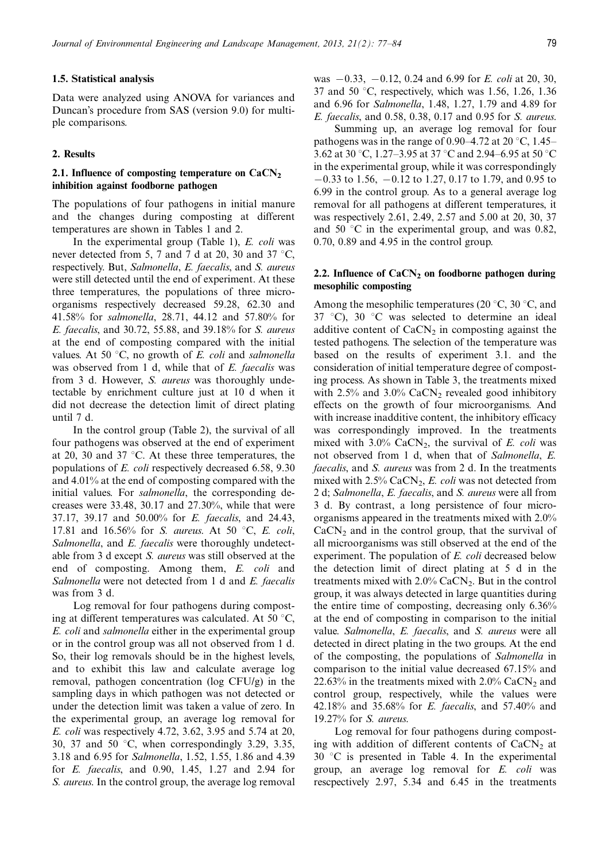## 1.5. Statistical analysis

Data were analyzed using ANOVA for variances and Duncan's procedure from SAS (version 9.0) for multiple comparisons.

## 2. Results

## 2.1. Influence of composting temperature on  $CaCN<sub>2</sub>$ inhibition against foodborne pathogen

The populations of four pathogens in initial manure and the changes during composting at different temperatures are shown in Tables 1 and 2.

In the experimental group (Table 1),  $E.$   $\text{coli}$  was never detected from 5, 7 and 7 d at 20, 30 and 37  $\degree$ C, respectively. But, Salmonella, E. faecalis, and S. aureus were still detected until the end of experiment. At these three temperatures, the populations of three microorganisms respectively decreased 59.28, 62.30 and 41.58% for salmonella, 28.71, 44.12 and 57.80% for E. faecalis, and 30.72, 55.88, and 39.18% for S. aureus at the end of composting compared with the initial values. At 50  $\degree$ C, no growth of *E. coli* and salmonella was observed from 1 d, while that of E. faecalis was from 3 d. However, S. aureus was thoroughly undetectable by enrichment culture just at 10 d when it did not decrease the detection limit of direct plating until 7 d.

In the control group (Table 2), the survival of all four pathogens was observed at the end of experiment at 20, 30 and 37  $\degree$ C. At these three temperatures, the populations of E. coli respectively decreased 6.58, 9.30 and 4.01% at the end of composting compared with the initial values. For *salmonella*, the corresponding decreases were 33.48, 30.17 and 27.30%, while that were 37.17, 39.17 and 50.00% for E. faecalis, and 24.43, 17.81 and 16.56% for S. aureus. At 50 °C, E. coli, Salmonella, and E. faecalis were thoroughly undetectable from 3 d except S. aureus was still observed at the end of composting. Among them, E. coli and Salmonella were not detected from 1 d and E. faecalis was from 3 d.

Log removal for four pathogens during composting at different temperatures was calculated. At 50  $\degree$ C, E. coli and salmonella either in the experimental group or in the control group was all not observed from 1 d. So, their log removals should be in the highest levels, and to exhibit this law and calculate average log removal, pathogen concentration (log CFU/g) in the sampling days in which pathogen was not detected or under the detection limit was taken a value of zero. In the experimental group, an average log removal for E. coli was respectively 4.72, 3.62, 3.95 and 5.74 at 20, 30, 37 and 50  $\degree$ C, when correspondingly 3.29, 3.35, 3.18 and 6.95 for Salmonella, 1.52, 1.55, 1.86 and 4.39 for E. faecalis, and 0.90, 1.45, 1.27 and 2.94 for S. aureus. In the control group, the average log removal was  $-0.33$ ,  $-0.12$ , 0.24 and 6.99 for E. coli at 20, 30, 37 and 50  $\degree$ C, respectively, which was 1.56, 1.26, 1.36 and 6.96 for Salmonella, 1.48, 1.27, 1.79 and 4.89 for E. faecalis, and 0.58, 0.38, 0.17 and 0.95 for S. aureus.

Summing up, an average log removal for four pathogens was in the range of 0.90–4.72 at 20 °C, 1.45– 3.62 at 30 °C, 1.27–3.95 at 37 °C and 2.94–6.95 at 50 °C in the experimental group, while it was correspondingly  $-0.33$  to 1.56,  $-0.12$  to 1.27, 0.17 to 1.79, and 0.95 to 6.99 in the control group. As to a general average log removal for all pathogens at different temperatures, it was respectively 2.61, 2.49, 2.57 and 5.00 at 20, 30, 37 and 50  $\degree$ C in the experimental group, and was 0.82, 0.70, 0.89 and 4.95 in the control group.

## 2.2. Influence of  $CaCN<sub>2</sub>$  on foodborne pathogen during mesophilic composting

Among the mesophilic temperatures (20 $\degree$ C, 30 $\degree$ C, and 37  $\degree$ C), 30  $\degree$ C was selected to determine an ideal additive content of  $CaCN<sub>2</sub>$  in composting against the tested pathogens. The selection of the temperature was based on the results of experiment 3.1. and the consideration of initial temperature degree of composting process. As shown in Table 3, the treatments mixed with  $2.5\%$  and  $3.0\%$  CaCN<sub>2</sub> revealed good inhibitory effects on the growth of four microorganisms. And with increase inadditive content, the inhibitory efficacy was correspondingly improved. In the treatments mixed with  $3.0\%$  CaCN<sub>2</sub>, the survival of E. coli was not observed from 1 d, when that of Salmonella, E. faecalis, and S. aureus was from 2 d. In the treatments mixed with  $2.5\%$  CaCN<sub>2</sub>, E. coli was not detected from 2 d; Salmonella, E. faecalis, and S. aureus were all from 3 d. By contrast, a long persistence of four microorganisms appeared in the treatments mixed with 2.0%  $CaCN<sub>2</sub>$  and in the control group, that the survival of all microorganisms was still observed at the end of the experiment. The population of E. coli decreased below the detection limit of direct plating at 5 d in the treatments mixed with  $2.0\%$  CaCN<sub>2</sub>. But in the control group, it was always detected in large quantities during the entire time of composting, decreasing only 6.36% at the end of composting in comparison to the initial value. Salmonella, E. faecalis, and S. aureus were all detected in direct plating in the two groups. At the end of the composting, the populations of Salmonella in comparison to the initial value decreased 67.15% and 22.63% in the treatments mixed with  $2.0\%$  CaCN<sub>2</sub> and control group, respectively, while the values were 42.18% and 35.68% for E. faecalis, and 57.40% and 19.27% for S. aureus.

Log removal for four pathogens during composting with addition of different contents of  $CaCN<sub>2</sub>$  at  $30^{\circ}$ C is presented in Table 4. In the experimental group, an average log removal for E. coli was rescpectively 2.97, 5.34 and 6.45 in the treatments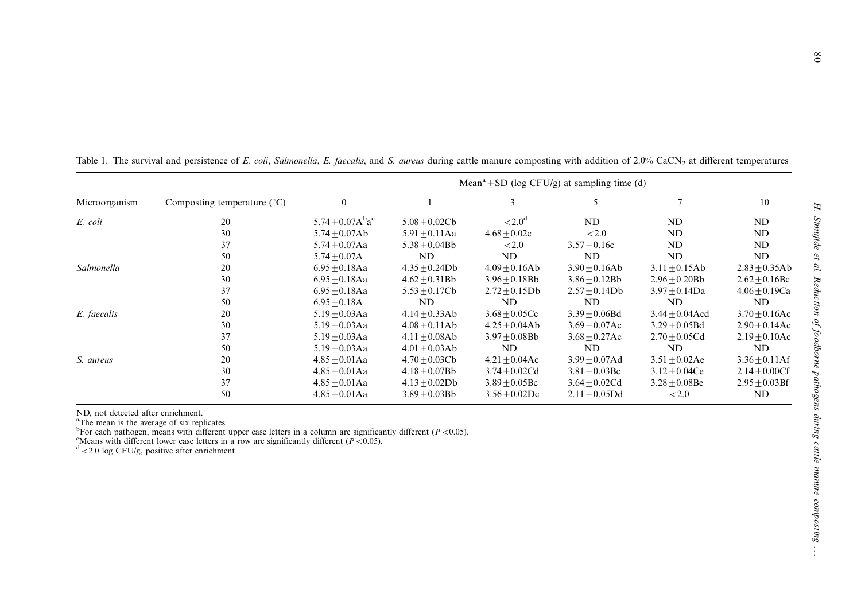|               | Composting temperature $(^{\circ}C)$ | Mean <sup>a</sup> $\pm$ SD (log CFU/g) at sampling time (d) |                    |                    |                  |                    |                    |  |
|---------------|--------------------------------------|-------------------------------------------------------------|--------------------|--------------------|------------------|--------------------|--------------------|--|
| Microorganism |                                      |                                                             |                    | 3                  |                  |                    | 10                 |  |
| E. coli       | 20                                   | 5.74 $\pm$ 0.07A <sup>b</sup> a <sup>c</sup>                | $5.08 + 0.02Cb$    | < 2.0 <sup>d</sup> | ND               | ND                 | ND                 |  |
|               | 30                                   | $5.74 + 0.07Ab$                                             | $5.91 + 0.11$ Aa   | $4.68 + 0.02c$     | ${<}2.0$         | ND                 | ND                 |  |
|               | 37                                   | $5.74 + 0.07$ Aa                                            | $5.38 + 0.04Bb$    | ${<}2.0$           | $3.57 + 0.16c$   | ND                 | ND.                |  |
|               | 50                                   | $5.74 + 0.07A$                                              | ND                 | ND                 | ND               | ND                 | ND                 |  |
| Salmonella    | 20                                   | $6.95 \pm 0.18$ Aa                                          | $4.35 + 0.24$ Db   | $4.09 + 0.16Ab$    | $3.90 + 0.16Ab$  | $3.11 \pm 0.15$ Ab | $2.83 \pm 0.35$ Ab |  |
|               | 30                                   | $6.95 + 0.18$ Aa                                            | $4.62 + 0.31Bb$    | $3.96 \pm 0.18$ Bb | $3.86 + 0.12Bb$  | $2.96 + 0.20Bb$    | $2.62 + 0.16$ Bc   |  |
|               | 37                                   | $6.95 + 0.18$ Aa                                            | $5.53 + 0.17Cb$    | $2.72 + 0.15$ Db   | $2.57 + 0.14Db$  | $3.97 + 0.14$ Da   | $4.06 + 0.19Ca$    |  |
|               | 50                                   | $6.95 + 0.18A$                                              | ND                 | ND                 | ND               | ND                 | ND                 |  |
| E. faecalis   | 20                                   | $5.19 + 0.03$ Aa                                            | $4.14 + 0.33Ab$    | $3.68 + 0.05Cc$    | $3.39 + 0.06Bd$  | $3.44 + 0.04$ Acd  | $3.70 + 0.16$ Ac   |  |
|               | 30                                   | $5.19 + 0.03$ Aa                                            | $4.08 + 0.11Ab$    | $4.25 + 0.04Ab$    | $3.69 + 0.07$ Ac | $3.29 + 0.05Bd$    | $2.90 + 0.14$ Ac   |  |
|               | 37                                   | $5.19 + 0.03$ Aa                                            | $4.11 + 0.08Ab$    | $3.97 + 0.08$ Bb   | $3.68 + 0.27$ Ac | $2.70 + 0.05Cd$    | $2.19 + 0.10$ Ac   |  |
|               | 50                                   | $5.19 + 0.03$ Aa                                            | $4.01 \pm 0.03$ Ab | ND                 | ND               | ND                 | ND                 |  |
| S. aureus     | 20                                   | $4.85 + 0.01$ Aa                                            | $4.70 + 0.03Cb$    | $4.21 + 0.04$ Ac   | $3.99 + 0.07$ Ad | $3.51 + 0.02$ Ae   | $3.36 + 0.11$ Af   |  |
|               | 30                                   | $4.85 + 0.01$ Aa                                            | $4.18 + 0.07Bb$    | $3.74 + 0.02Cd$    | $3.81 + 0.03$ Bc | $3.12 + 0.04Ce$    | $2.14 + 0.00Cf$    |  |
|               | 37                                   | $4.85 + 0.01$ Aa                                            | $4.13 \pm 0.02$ Db | $3.89 + 0.05$ Bc   | $3.64 + 0.02Cd$  | $3.28 + 0.08$ Be   | $2.95 + 0.03BF$    |  |
|               | 50                                   | $4.85 + 0.01$ Aa                                            | $3.89 + 0.03$ Bb   | $3.56 + 0.02$ Dc   | $2.11 + 0.05Dd$  | ${<}2.0$           | ND                 |  |

Table 1. The survival and persistence of E. coli, Salmonella, E. faecalis, and S. aureus during cattle manure composting with addition of 2.0% CaCN<sub>2</sub> at different temperatures

ND, not detected after enrichment.<br><sup>a</sup>The mean is the average of six replicates.

<sup>a</sup>The mean is the average of six replicates.<br><sup>b</sup>For each pathogen, means with different upper case letters in a column are significantly different (P <0.05).

<sup>c</sup>Means with different lower case letters in a row are significantly different (*P* <0.05). <sup>d</sup> <2.0 log CFU/g, positive after enrichment.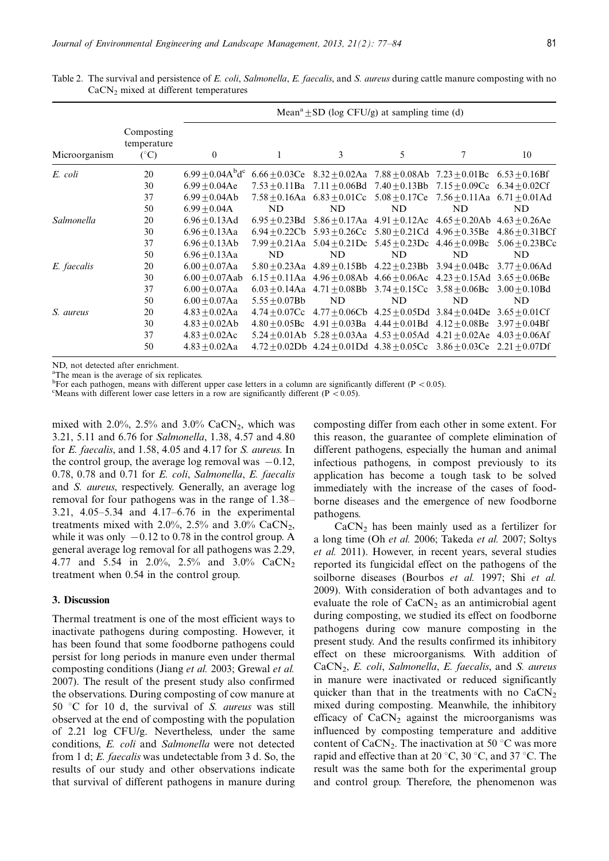|               |                                           | Mean <sup>a</sup> $\pm$ SD (log CFU/g) at sampling time (d) |                    |    |                                                                                           |    |                                                                        |  |
|---------------|-------------------------------------------|-------------------------------------------------------------|--------------------|----|-------------------------------------------------------------------------------------------|----|------------------------------------------------------------------------|--|
| Microorganism | Composting<br>temperature<br>$(^\circ C)$ | $\overline{0}$                                              |                    | 3  | 5                                                                                         | 7  | 10                                                                     |  |
| E. coli       | 20                                        | $6.99 \pm 0.04$ A $^{b}$ d <sup>c</sup>                     |                    |    | $6.66 + 0.03$ Ce $8.32 + 0.02$ Aa $7.88 + 0.08$ Ab $7.23 + 0.01$ Bc $6.53 + 0.16$ Bf      |    |                                                                        |  |
|               | 30                                        | $6.99 + 0.04$ Ae                                            |                    |    | $7.53 + 0.11$ Ba $7.11 + 0.06$ Bd $7.40 + 0.13$ Bb $7.15 + 0.09$ Cc $6.34 + 0.02$ Cf      |    |                                                                        |  |
|               | 37                                        | $6.99 + 0.04Ab$                                             |                    |    | 7.58 $\pm$ 0.16Aa 6.83 $\pm$ 0.01Cc 5.08 $\pm$ 0.17Ce 7.56 $\pm$ 0.11Aa 6.71 $\pm$ 0.01Ad |    |                                                                        |  |
|               | 50                                        | $6.99 \pm 0.04$ A                                           | ND                 | ND | ND                                                                                        | ND | ND                                                                     |  |
| Salmonella    | 20                                        | $6.96 + 0.13$ Ad                                            | $6.95 + 0.23Bd$    |    | 5.86 + 0.17Aa $4.91 + 0.12$ Ac $4.65 + 0.20$ Ab $4.63 + 0.26$ Ae                          |    |                                                                        |  |
|               | 30                                        | $6.96 + 0.13$ Aa                                            |                    |    |                                                                                           |    | 6.94 + 0.22Cb 5.93 + 0.26Cc 5.80 + 0.21Cd 4.96 + 0.35Be 4.86 + 0.31BCf |  |
|               | 37                                        | $6.96 + 0.13Ab$                                             |                    |    | 7.99 $\pm$ 0.21Aa 5.04 $\pm$ 0.21Dc 5.45 $\pm$ 0.23Dc 4.46 $\pm$ 0.09Bc                   |    | $5.06 + 0.23$ BCc                                                      |  |
|               | 50                                        | $6.96 + 0.13$ Aa                                            | ND                 | ND | ND                                                                                        | ND | ND                                                                     |  |
| E. faecalis   | 20                                        | $6.00 + 0.07$ Aa                                            |                    |    | $5.80 + 0.23$ Aa $4.89 + 0.15$ Bb $4.22 + 0.23$ Bb $3.94 + 0.04$ Bc                       |    | $3.77 + 0.06$ Ad                                                       |  |
|               | 30                                        | $6.00 + 0.07$ Aab                                           |                    |    | 6.15 $\pm$ 0.11Aa 4.96 $\pm$ 0.08Ab 4.66 $\pm$ 0.06Ac 4.23 $\pm$ 0.15Ad 3.65 $\pm$ 0.06Be |    |                                                                        |  |
|               | 37                                        | $6.00 + 0.07$ Aa                                            |                    |    | 6.03 $\pm$ 0.14Aa 4.71 $\pm$ 0.08Bb 3.74 $\pm$ 0.15Cc 3.58 $\pm$ 0.06Bc 3.00 $\pm$ 0.10Bd |    |                                                                        |  |
|               | 50                                        | $6.00 + 0.07$ Aa                                            | $5.55 \pm 0.07$ Bb | ND | ND                                                                                        | ND | ND                                                                     |  |
| S. aureus     | 20                                        | $4.83 + 0.02Aa$                                             |                    |    | $4.74 + 0.07$ Cc $4.77 + 0.06$ Cb $4.25 + 0.05$ Dd $3.84 + 0.04$ De $3.65 + 0.01$ Cf      |    |                                                                        |  |
|               | 30                                        | $4.83 + 0.02Ab$                                             | $4.80 + 0.05$ Bc   |    | $4.91 + 0.03$ Ba $4.44 + 0.01$ Bd $4.12 + 0.08$ Be                                        |    | $3.97 + 0.04Bf$                                                        |  |
|               | 37                                        | $4.83 \pm 0.02$ Ac                                          |                    |    | 5.24 + 0.01Ab 5.28 + 0.03Aa 4.53 + 0.05Ad 4.21 + 0.02Ae 4.03 + 0.06Af                     |    |                                                                        |  |
|               | 50                                        | $4.83 + 0.02Aa$                                             |                    |    | $4.72 + 0.02$ Db $4.24 + 0.01$ Dd $4.38 + 0.05$ Cc $3.86 + 0.03$ Ce $2.21 + 0.07$ Df      |    |                                                                        |  |

Table 2. The survival and persistence of E. coli, Salmonella, E. faecalis, and S. aureus during cattle manure composting with no CaCN<sub>2</sub> mixed at different temperatures

ND, not detected after enrichment.

<sup>a</sup>The mean is the average of six replicates.

b For each pathogen, means with different upper case letters in a column are significantly different ( $P < 0.05$ ).

<sup>c</sup>Means with different lower case letters in a row are significantly different (P < 0.05).

mixed with 2.0%, 2.5% and 3.0% CaCN<sub>2</sub>, which was 3.21, 5.11 and 6.76 for Salmonella, 1.38, 4.57 and 4.80 for E. faecalis, and 1.58, 4.05 and 4.17 for S. aureus. In the control group, the average log removal was  $-0.12$ , 0.78, 0.78 and 0.71 for E. coli, Salmonella, E. faecalis and S. aureus, respectively. Generally, an average log removal for four pathogens was in the range of 1.38 3.21,  $4.05 - 5.34$  and  $4.17 - 6.76$  in the experimental treatments mixed with 2.0%, 2.5% and 3.0% CaCN<sub>2</sub>, while it was only  $-0.12$  to 0.78 in the control group. A general average log removal for all pathogens was 2.29, 4.77 and 5.54 in 2.0%, 2.5% and 3.0% CaCN<sub>2</sub> treatment when 0.54 in the control group.

## 3. Discussion

Thermal treatment is one of the most efficient ways to inactivate pathogens during composting. However, it has been found that some foodborne pathogens could persist for long periods in manure even under thermal composting conditions (Jiang et al. 2003; Grewal et al. 2007). The result of the present study also confirmed the observations. During composting of cow manure at 50 °C for 10 d, the survival of S. aureus was still observed at the end of composting with the population of 2.21 log CFU/g. Nevertheless, under the same conditions, E. coli and Salmonella were not detected from 1 d; E. faecalis was undetectable from 3 d. So, the results of our study and other observations indicate that survival of different pathogens in manure during composting differ from each other in some extent. For this reason, the guarantee of complete elimination of different pathogens, especially the human and animal infectious pathogens, in compost previously to its application has become a tough task to be solved immediately with the increase of the cases of foodborne diseases and the emergence of new foodborne pathogens.

 $CaCN<sub>2</sub>$  has been mainly used as a fertilizer for a long time (Oh et al. 2006; Takeda et al. 2007; Soltys et al. 2011). However, in recent years, several studies reported its fungicidal effect on the pathogens of the soilborne diseases (Bourbos et al. 1997; Shi et al. 2009). With consideration of both advantages and to evaluate the role of  $CaCN<sub>2</sub>$  as an antimicrobial agent during composting, we studied its effect on foodborne pathogens during cow manure composting in the present study. And the results confirmed its inhibitory effect on these microorganisms. With addition of  $CaCN<sub>2</sub>$ , E. coli, Salmonella, E. faecalis, and S. aureus in manure were inactivated or reduced significantly quicker than that in the treatments with no  $CaCN<sub>2</sub>$ mixed during composting. Meanwhile, the inhibitory efficacy of  $CaCN<sub>2</sub>$  against the microorganisms was influenced by composting temperature and additive content of CaCN<sub>2</sub>. The inactivation at 50  $\mathrm{^{\circ}C}$  was more rapid and effective than at 20  $\degree$ C, 30  $\degree$ C, and 37  $\degree$ C. The result was the same both for the experimental group and control group. Therefore, the phenomenon was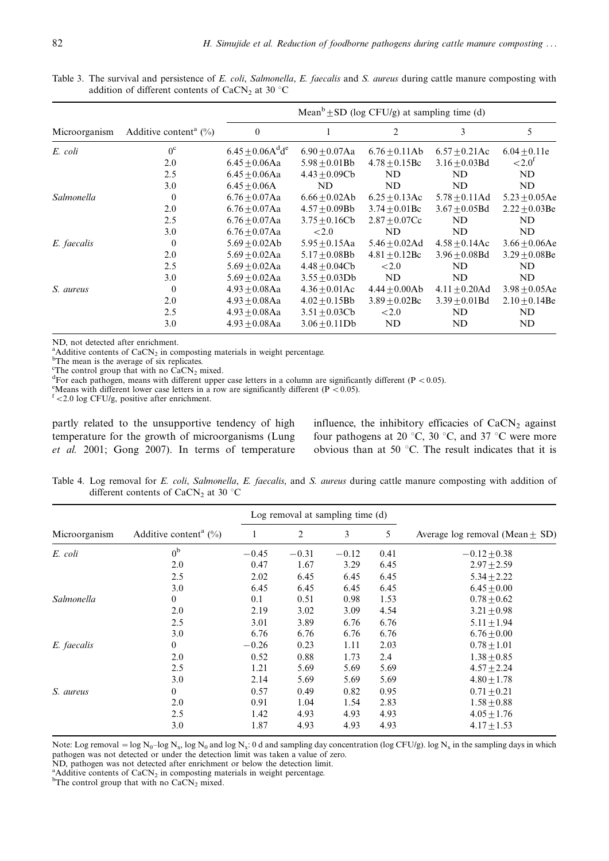Table 3. The survival and persistence of E. coli, Salmonella, E. faecalis and S. aureus during cattle manure composting with addition of different contents of CaCN<sub>2</sub> at 30  $\degree$ C

|               |                                      | Mean <sup>b</sup> $\pm$ SD (log CFU/g) at sampling time (d) |                    |                    |                    |                    |  |  |
|---------------|--------------------------------------|-------------------------------------------------------------|--------------------|--------------------|--------------------|--------------------|--|--|
| Microorganism | Additive content <sup>a</sup> $(\%)$ | $\boldsymbol{0}$                                            |                    | 2                  | 3                  | 5                  |  |  |
| E. coli       | $0^{\circ}$                          | $6.45 \pm 0.06$ A <sup>d</sup> d <sup>e</sup>               | $6.90 + 0.07$ Aa   | $6.76 + 0.11Ab$    | $6.57 + 0.21$ Ac   | $6.04 \pm 0.11e$   |  |  |
|               | 2.0                                  | $6.45 + 0.06$ Aa                                            | $5.98 + 0.01Bb$    | $4.78 + 0.15$ Bc   | $3.16 + 0.03Bd$    | ${<}2.0^{\rm f}$   |  |  |
|               | 2.5                                  | $6.45 + 0.06$ Aa                                            | $4.43 \pm 0.09$ Cb | ND                 | ND.                | ND                 |  |  |
|               | 3.0                                  | $6.45 + 0.06A$                                              | ND                 | ND                 | ND                 | ND                 |  |  |
| Salmonella    | $\theta$                             | $6.76 + 0.07$ Aa                                            | $6.66 + 0.02Ab$    | $6.25 + 0.13$ Ac   | $5.78 + 0.11$ Ad   | $5.23 + 0.05$ Ae   |  |  |
|               | 2.0                                  | $6.76 + 0.07$ Aa                                            | $4.57 \pm 0.09$ Bb | $3.74 + 0.01$ Bc   | $3.67 + 0.05Bd$    | $2.22 + 0.03$ Be   |  |  |
|               | 2.5                                  | $6.76 + 0.07$ Aa                                            | $3.75 + 0.16Cb$    | $2.87 + 0.07Cc$    | ND                 | ND                 |  |  |
|               | 3.0                                  | $6.76 + 0.07$ Aa                                            | ${<}2.0$           | ND                 | ND                 | ND                 |  |  |
| E. faecalis   | $\theta$                             | $5.69 + 0.02Ab$                                             | $5.95 \pm 0.15$ Aa | $5.46 \pm 0.02$ Ad | $4.58 + 0.14$ Ac   | $3.66 \pm 0.06$ Ae |  |  |
|               | 2.0                                  | $5.69 + 0.02$ Aa                                            | $5.17 + 0.08$ Bb   | $4.81 \pm 0.12$ Bc | $3.96 \pm 0.08$ Bd | $3.29 \pm 0.08$ Be |  |  |
|               | 2.5                                  | $5.69 + 0.02$ Aa                                            | $4.48 \pm 0.04$ Cb | ${<}2.0$           | ND                 | ND                 |  |  |
|               | 3.0                                  | $5.69 + 0.02$ Aa                                            | $3.55 + 0.03Db$    | ND                 | ND                 | ND                 |  |  |
| S. aureus     | $\overline{0}$                       | $4.93 + 0.08$ Aa                                            | $4.36 + 0.01$ Ac   | $4.44 + 0.00Ab$    | $4.11 + 0.20$ Ad   | $3.98 \pm 0.05$ Ae |  |  |
|               | 2.0                                  | $4.93 + 0.08$ Aa                                            | $4.02 \pm 0.15$ Bb | $3.89 \pm 0.02$ Bc | $3.39 \pm 0.01$ Bd | $2.10 \pm 0.14$ Be |  |  |
|               | 2.5                                  | $4.93 + 0.08$ Aa                                            | $3.51 + 0.03Cb$    | ${<}2.0$           | ND                 | ND                 |  |  |
|               | 3.0                                  | $4.93 + 0.08$ Aa                                            | $3.06 + 0.11Db$    | ND                 | ND                 | ND                 |  |  |

ND, not detected after enrichment.

<sup>a</sup>Additive contents of CaCN<sub>2</sub> in composting materials in weight percentage.<br><sup>b</sup>The mean is the average of six replicates.

The control group that with no  $\hat{C}aCN_2$  mixed.

<sup>d</sup>For each pathogen, means with different upper case letters in a column are significantly different (P < 0.05).

<sup>e</sup>Means with different lower case letters in a row are significantly different (P < 0.05).  $f$  < 2.0 log CFU/g, positive after enrichment.

partly related to the unsupportive tendency of high temperature for the growth of microorganisms (Lung et al. 2001; Gong 2007). In terms of temperature influence, the inhibitory efficacies of  $CaCN<sub>2</sub>$  against four pathogens at 20 °C, 30 °C, and 37 °C were more obvious than at 50  $\degree$ C. The result indicates that it is

Table 4. Log removal for E. coli, Salmonella, E. faecalis, and S. aureus during cattle manure composting with addition of different contents of CaCN<sub>2</sub> at 30  $\degree$ C

|               | Additive content <sup>a</sup> $(\%)$ |         | Log removal at sampling time (d) |         |      |                                     |
|---------------|--------------------------------------|---------|----------------------------------|---------|------|-------------------------------------|
| Microorganism |                                      |         | $\overline{2}$                   | 3       | 5    | Average log removal (Mean $\pm$ SD) |
| E. coli       | 0 <sup>b</sup>                       | $-0.45$ | $-0.31$                          | $-0.12$ | 0.41 | $-0.12 + 0.38$                      |
|               | 2.0                                  | 0.47    | 1.67                             | 3.29    | 6.45 | $2.97 + 2.59$                       |
|               | 2.5                                  | 2.02    | 6.45                             | 6.45    | 6.45 | $5.34 \pm 2.22$                     |
|               | 3.0                                  | 6.45    | 6.45                             | 6.45    | 6.45 | $6.45 \pm 0.00$                     |
| Salmonella    | $\overline{0}$                       | 0.1     | 0.51                             | 0.98    | 1.53 | $0.78 + 0.62$                       |
|               | 2.0                                  | 2.19    | 3.02                             | 3.09    | 4.54 | $3.21 + 0.98$                       |
|               | 2.5                                  | 3.01    | 3.89                             | 6.76    | 6.76 | $5.11 \pm 1.94$                     |
|               | 3.0                                  | 6.76    | 6.76                             | 6.76    | 6.76 | $6.76 + 0.00$                       |
| E. faecalis   | $\overline{0}$                       | $-0.26$ | 0.23                             | 1.11    | 2.03 | $0.78 + 1.01$                       |
|               | 2.0                                  | 0.52    | 0.88                             | 1.73    | 2.4  | $1.38 + 0.85$                       |
|               | 2.5                                  | 1.21    | 5.69                             | 5.69    | 5.69 | $4.57 + 2.24$                       |
|               | 3.0                                  | 2.14    | 5.69                             | 5.69    | 5.69 | $4.80 \pm 1.78$                     |
| S. aureus     | $\overline{0}$                       | 0.57    | 0.49                             | 0.82    | 0.95 | $0.71 + 0.21$                       |
|               | 2.0                                  | 0.91    | 1.04                             | 1.54    | 2.83 | $1.58 \pm 0.88$                     |
|               | 2.5                                  | 1.42    | 4.93                             | 4.93    | 4.93 | $4.05 + 1.76$                       |
|               | 3.0                                  | 1.87    | 4.93                             | 4.93    | 4.93 | $4.17 \pm 1.53$                     |

Note: Log removal =  $\log N_0$ - $\log N_x$ ,  $\log N_0$  and  $\log N_x$ : 0 d and sampling day concentration (log CFU/g). log N<sub>x</sub> in the sampling days in which pathogen was not detected or under the detection limit was taken a value of zero. ND, pathogen was not detected after enrichment or below the detection limit.

<sup>a</sup> Additive contents of CaCN<sub>2</sub> in composting materials in weight percentage.

<sup>b</sup>The control group that with no  $CaCN<sub>2</sub>$  mixed.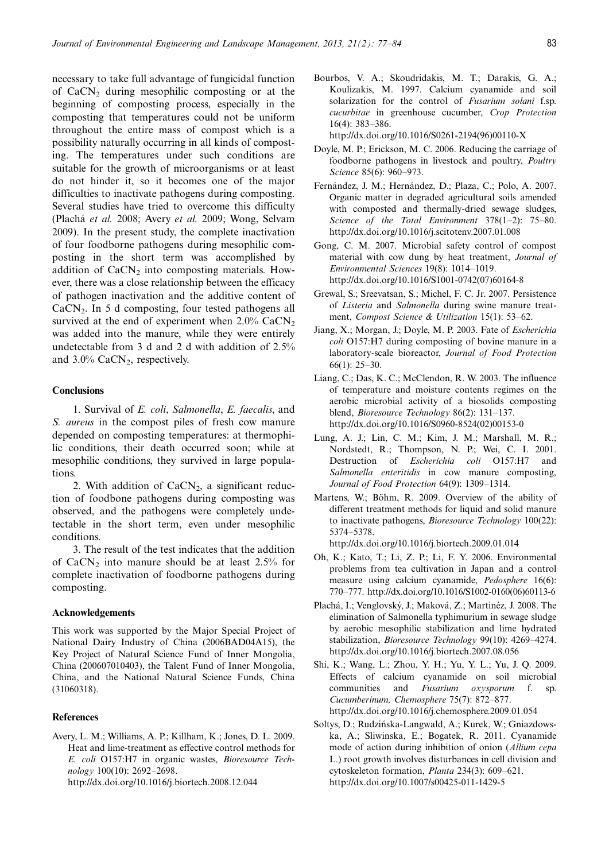necessary to take full advantage of fungicidal function of  $CaCN<sub>2</sub>$  during mesophilic composting or at the beginning of composting process, especially in the composting that temperatures could not be uniform throughout the entire mass of compost which is a possibility naturally occurring in all kinds of composting. The temperatures under such conditions are suitable for the growth of microorganisms or at least do not hinder it, so it becomes one of the major difficulties to inactivate pathogens during composting. Several studies have tried to overcome this difficulty (Plachá et al. 2008; Avery et al. 2009; Wong, Selvam 2009). In the present study, the complete inactivation of four foodborne pathogens during mesophilic composting in the short term was accomplished by addition of  $CaCN<sub>2</sub>$  into composting materials. However, there was a close relationship between the efficacy of pathogen inactivation and the additive content of CaCN2. In 5 d composting, four tested pathogens all survived at the end of experiment when  $2.0\%$  CaCN<sub>2</sub> was added into the manure, while they were entirely undetectable from 3 d and 2 d with addition of 2.5% and  $3.0\%$  CaCN<sub>2</sub>, respectively.

## **Conclusions**

1. Survival of E. coli, Salmonella, E. faecalis, and S. *aureus* in the compost piles of fresh cow manure depended on composting temperatures: at thermophilic conditions, their death occurred soon; while at mesophilic conditions, they survived in large populations.

2. With addition of  $CaCN<sub>2</sub>$ , a significant reduction of foodbone pathogens during composting was observed, and the pathogens were completely undetectable in the short term, even under mesophilic conditions.

3. The result of the test indicates that the addition of  $CaCN<sub>2</sub>$  into manure should be at least 2.5% for complete inactivation of foodborne pathogens during composting.

## Acknowledgements

This work was supported by the Major Special Project of National Dairy Industry of China (2006BAD04A15), the Key Project of Natural Science Fund of Inner Mongolia, China (200607010403), the Talent Fund of Inner Mongolia, China, and the National Natural Science Funds, China (31060318).

## **References**

Avery, L. M.; Williams, A. P.; Killham, K.; Jones, D. L. 2009. Heat and lime-treatment as effective control methods for E. coli O157:H7 in organic wastes, Bioresource Technology 100(10): 2692-2698. <http://dx.doi.org/10.1016/j.biortech.2008.12.044>

Bourbos, V. A.; Skoudridakis, M. T.; Darakis, G. A.; Koulizakis, M. 1997. Calcium cyanamide and soil solarization for the control of Fusarium solani f.sp. cucurbitae in greenhouse cucumber, Crop Protection  $16(4)$ : 383-386.

[http://dx.doi.org/10.1016/S0261-2194\(96\)00110-X](http://dx.doi.org/10.1016/S0261-2194(96)00110-X)

- Doyle, M. P.; Erickson, M. C. 2006. Reducing the carriage of foodborne pathogens in livestock and poultry, Poultry Science 85(6): 960-973.
- Fernández, J. M.; Hernández, D.; Plaza, C.; Polo, A. 2007. Organic matter in degraded agricultural soils amended with composted and thermally-dried sewage sludges, Science of the Total Environment  $378(1-2)$ : 75-80. <http://dx.doi.org/10.1016/j.scitotenv.2007.01.008>
- Gong, C. M. 2007. Microbial safety control of compost material with cow dung by heat treatment, Journal of Environmental Sciences 19(8): 1014-1019. [http://dx.doi.org/10.1016/S1001-0742\(07\)60164-8](http://dx.doi.org/10.1016/S1001-0742(07)60164-8)
- Grewal, S.; Sreevatsan, S.; Michel, F. C. Jr. 2007. Persistence of Listeria and Salmonella during swine manure treatment, Compost Science & Utilization 15(1): 53-62.
- Jiang, X.; Morgan, J.; Doyle, M. P. 2003. Fate of Escherichia coli O157:H7 during composting of bovine manure in a laboratory-scale bioreactor, Journal of Food Protection 66 $(1)$ : 25-30.
- Liang, C.; Das, K. C.; McClendon, R. W. 2003. The influence of temperature and moisture contents regimes on the aerobic microbial activity of a biosolids composting blend, Bioresource Technology 86(2):  $131-137$ . [http://dx.doi.org/10.1016/S0960-8524\(02\)00153-0](http://dx.doi.org/10.1016/S0960-8524(02)00153-0)
- Lung, A. J.; Lin, C. M.; Kim, J. M.; Marshall, M. R.; Nordstedt, R.; Thompson, N. P.; Wei, C. I. 2001. Destruction of Escherichia coli O157:H7 and Salmonella enteritidis in cow manure composting, Journal of Food Protection 64(9): 1309-1314.
- Martens, W.; Böhm, R. 2009. Overview of the ability of different treatment methods for liquid and solid manure to inactivate pathogens, Bioresource Technology 100(22): 5374-5378.

[http://dx.doi.org/10.1016/j.biortech.2009.01.014](http://dx.doi.org/10.1016/j.biortech.2009.01.)

- Oh, K.; Kato, T.; Li, Z. P.; Li, F. Y. 2006. Environmental problems from tea cultivation in Japan and a control measure using calcium cyanamide, Pedosphere 16(6): 770777. [http://dx.doi.org/10.1016/S1002-0160\(06\)60113-6](http://dx.doi.org/10.1016/S1002-0160(06)60113-6)
- Plachá, I.; Venglovský, J.; Maková, Z.; Martinéz, J. 2008. The elimination of Salmonella typhimurium in sewage sludge by aerobic mesophilic stabilization and lime hydrated stabilization, *Bioresource Technology* 99(10): 4269–4274. <http://dx.doi.org/10.1016/j.biortech.2007.08.056>
- Shi, K.; Wang, L.; Zhou, Y. H.; Yu, Y. L.; Yu, J. Q. 2009. Effects of calcium cyanamide on soil microbial communities and Fusarium oxysporum f. sp. Cucumberinum, Chemosphere 75(7): 872-877. <http://dx.doi.org/10.1016/j.chemosphere.2009.01.054>
- Soltys, D.; Rudzińska-Langwald, A.; Kurek, W.; Gniazdowska, A.; Sliwinska, E.; Bogatek, R. 2011. Cyanamide mode of action during inhibition of onion (Allium cepa L.) root growth involves disturbances in cell division and cytoskeleton formation, Planta 234(3): 609-621. <http://dx.doi.org/10.1007/s00425-011-1429-5>